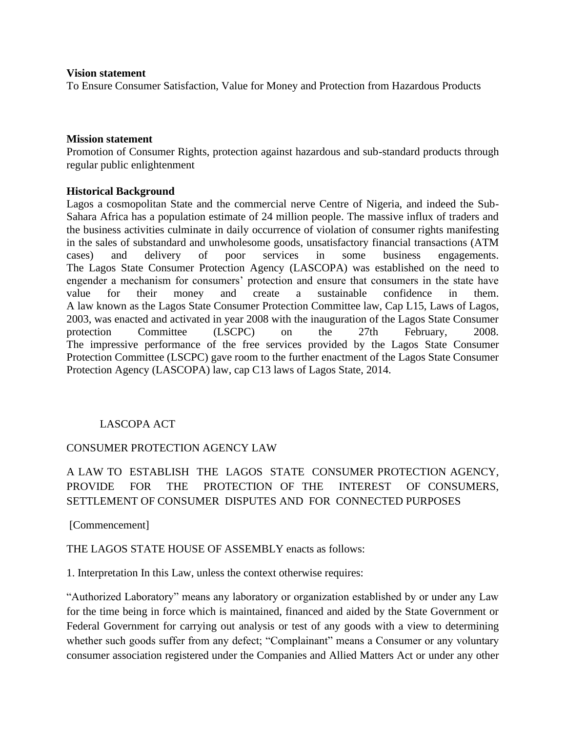#### **Vision statement**

To Ensure Consumer Satisfaction, Value for Money and Protection from Hazardous Products

#### **Mission statement**

Promotion of Consumer Rights, protection against hazardous and sub-standard products through regular public enlightenment

#### **Historical Background**

Lagos a cosmopolitan State and the commercial nerve Centre of Nigeria, and indeed the Sub-Sahara Africa has a population estimate of 24 million people. The massive influx of traders and the business activities culminate in daily occurrence of violation of consumer rights manifesting in the sales of substandard and unwholesome goods, unsatisfactory financial transactions (ATM cases) and delivery of poor services in some business engagements. The Lagos State Consumer Protection Agency (LASCOPA) was established on the need to engender a mechanism for consumers' protection and ensure that consumers in the state have value for their money and create a sustainable confidence in them. A law known as the Lagos State Consumer Protection Committee law, Cap L15, Laws of Lagos, 2003, was enacted and activated in year 2008 with the inauguration of the Lagos State Consumer protection Committee (LSCPC) on the 27th February, 2008. The impressive performance of the free services provided by the Lagos State Consumer Protection Committee (LSCPC) gave room to the further enactment of the Lagos State Consumer Protection Agency (LASCOPA) law, cap C13 laws of Lagos State, 2014.

## LASCOPA ACT

#### CONSUMER PROTECTION AGENCY LAW

# A LAW TO ESTABLISH THE LAGOS STATE CONSUMER PROTECTION AGENCY, PROVIDE FOR THE PROTECTION OF THE INTEREST OF CONSUMERS, SETTLEMENT OF CONSUMER DISPUTES AND FOR CONNECTED PURPOSES

#### [Commencement]

#### THE LAGOS STATE HOUSE OF ASSEMBLY enacts as follows:

1. Interpretation In this Law, unless the context otherwise requires:

"Authorized Laboratory" means any laboratory or organization established by or under any Law for the time being in force which is maintained, financed and aided by the State Government or Federal Government for carrying out analysis or test of any goods with a view to determining whether such goods suffer from any defect; "Complainant" means a Consumer or any voluntary consumer association registered under the Companies and Allied Matters Act or under any other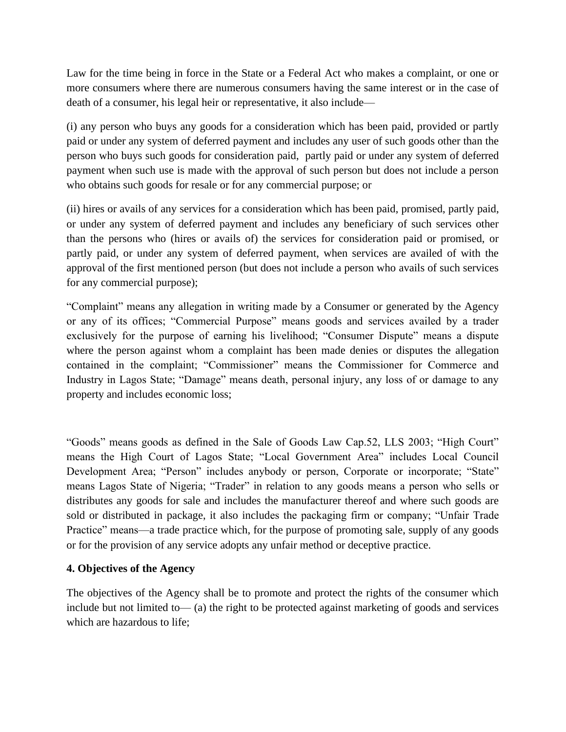Law for the time being in force in the State or a Federal Act who makes a complaint, or one or more consumers where there are numerous consumers having the same interest or in the case of death of a consumer, his legal heir or representative, it also include—

(i) any person who buys any goods for a consideration which has been paid, provided or partly paid or under any system of deferred payment and includes any user of such goods other than the person who buys such goods for consideration paid, partly paid or under any system of deferred payment when such use is made with the approval of such person but does not include a person who obtains such goods for resale or for any commercial purpose; or

(ii) hires or avails of any services for a consideration which has been paid, promised, partly paid, or under any system of deferred payment and includes any beneficiary of such services other than the persons who (hires or avails of) the services for consideration paid or promised, or partly paid, or under any system of deferred payment, when services are availed of with the approval of the first mentioned person (but does not include a person who avails of such services for any commercial purpose);

"Complaint" means any allegation in writing made by a Consumer or generated by the Agency or any of its offices; "Commercial Purpose" means goods and services availed by a trader exclusively for the purpose of earning his livelihood; "Consumer Dispute" means a dispute where the person against whom a complaint has been made denies or disputes the allegation contained in the complaint; "Commissioner" means the Commissioner for Commerce and Industry in Lagos State; "Damage" means death, personal injury, any loss of or damage to any property and includes economic loss;

"Goods" means goods as defined in the Sale of Goods Law Cap.52, LLS 2003; "High Court" means the High Court of Lagos State; "Local Government Area" includes Local Council Development Area; "Person" includes anybody or person, Corporate or incorporate; "State" means Lagos State of Nigeria; "Trader" in relation to any goods means a person who sells or distributes any goods for sale and includes the manufacturer thereof and where such goods are sold or distributed in package, it also includes the packaging firm or company; "Unfair Trade Practice" means—a trade practice which, for the purpose of promoting sale, supply of any goods or for the provision of any service adopts any unfair method or deceptive practice.

## **4. Objectives of the Agency**

The objectives of the Agency shall be to promote and protect the rights of the consumer which include but not limited to— (a) the right to be protected against marketing of goods and services which are hazardous to life;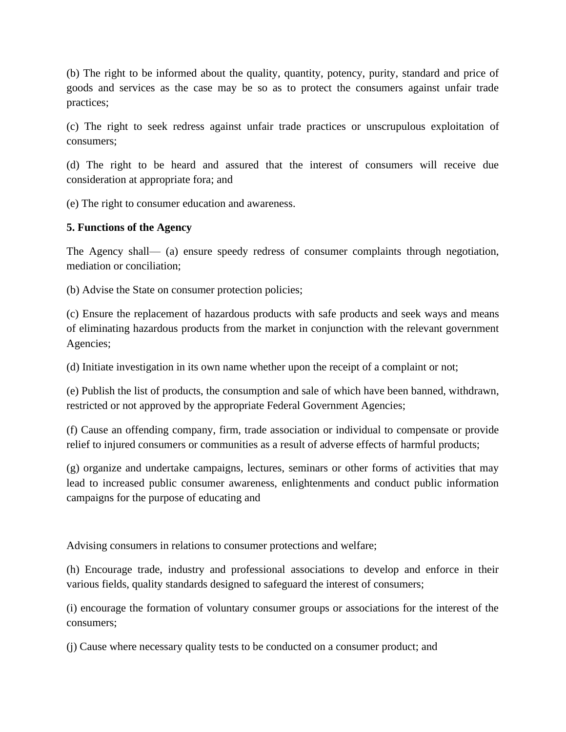(b) The right to be informed about the quality, quantity, potency, purity, standard and price of goods and services as the case may be so as to protect the consumers against unfair trade practices;

(c) The right to seek redress against unfair trade practices or unscrupulous exploitation of consumers;

(d) The right to be heard and assured that the interest of consumers will receive due consideration at appropriate fora; and

(e) The right to consumer education and awareness.

#### **5. Functions of the Agency**

The Agency shall— (a) ensure speedy redress of consumer complaints through negotiation, mediation or conciliation;

(b) Advise the State on consumer protection policies;

(c) Ensure the replacement of hazardous products with safe products and seek ways and means of eliminating hazardous products from the market in conjunction with the relevant government Agencies;

(d) Initiate investigation in its own name whether upon the receipt of a complaint or not;

(e) Publish the list of products, the consumption and sale of which have been banned, withdrawn, restricted or not approved by the appropriate Federal Government Agencies;

(f) Cause an offending company, firm, trade association or individual to compensate or provide relief to injured consumers or communities as a result of adverse effects of harmful products;

(g) organize and undertake campaigns, lectures, seminars or other forms of activities that may lead to increased public consumer awareness, enlightenments and conduct public information campaigns for the purpose of educating and

Advising consumers in relations to consumer protections and welfare;

(h) Encourage trade, industry and professional associations to develop and enforce in their various fields, quality standards designed to safeguard the interest of consumers;

(i) encourage the formation of voluntary consumer groups or associations for the interest of the consumers;

(j) Cause where necessary quality tests to be conducted on a consumer product; and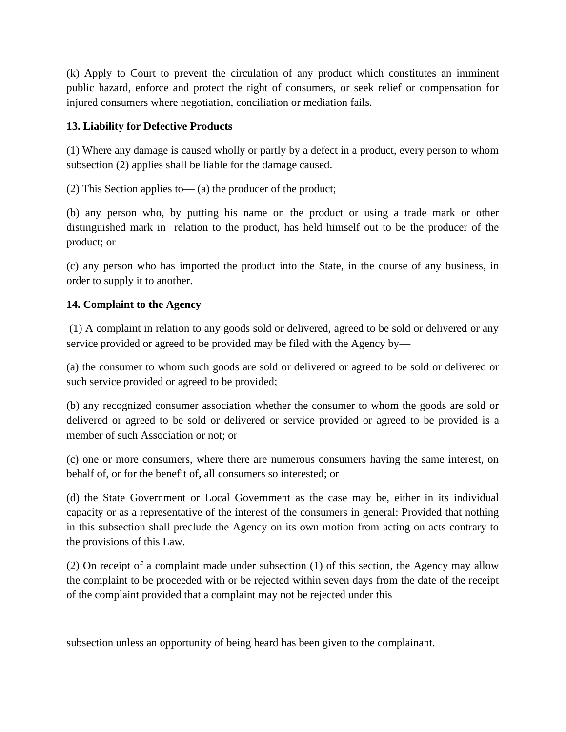(k) Apply to Court to prevent the circulation of any product which constitutes an imminent public hazard, enforce and protect the right of consumers, or seek relief or compensation for injured consumers where negotiation, conciliation or mediation fails.

# **13. Liability for Defective Products**

(1) Where any damage is caused wholly or partly by a defect in a product, every person to whom subsection (2) applies shall be liable for the damage caused.

(2) This Section applies to— (a) the producer of the product;

(b) any person who, by putting his name on the product or using a trade mark or other distinguished mark in relation to the product, has held himself out to be the producer of the product; or

(c) any person who has imported the product into the State, in the course of any business, in order to supply it to another.

## **14. Complaint to the Agency**

(1) A complaint in relation to any goods sold or delivered, agreed to be sold or delivered or any service provided or agreed to be provided may be filed with the Agency by—

(a) the consumer to whom such goods are sold or delivered or agreed to be sold or delivered or such service provided or agreed to be provided;

(b) any recognized consumer association whether the consumer to whom the goods are sold or delivered or agreed to be sold or delivered or service provided or agreed to be provided is a member of such Association or not; or

(c) one or more consumers, where there are numerous consumers having the same interest, on behalf of, or for the benefit of, all consumers so interested; or

(d) the State Government or Local Government as the case may be, either in its individual capacity or as a representative of the interest of the consumers in general: Provided that nothing in this subsection shall preclude the Agency on its own motion from acting on acts contrary to the provisions of this Law.

(2) On receipt of a complaint made under subsection (1) of this section, the Agency may allow the complaint to be proceeded with or be rejected within seven days from the date of the receipt of the complaint provided that a complaint may not be rejected under this

subsection unless an opportunity of being heard has been given to the complainant.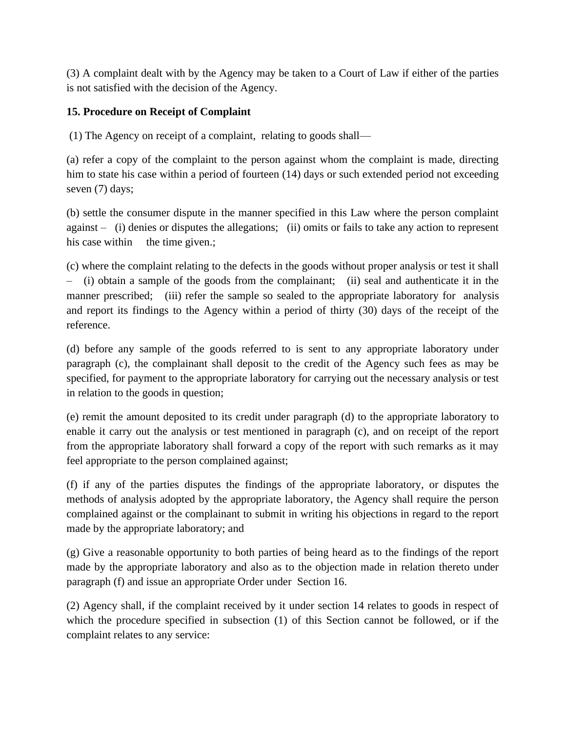(3) A complaint dealt with by the Agency may be taken to a Court of Law if either of the parties is not satisfied with the decision of the Agency.

# **15. Procedure on Receipt of Complaint**

(1) The Agency on receipt of a complaint, relating to goods shall—

(a) refer a copy of the complaint to the person against whom the complaint is made, directing him to state his case within a period of fourteen (14) days or such extended period not exceeding seven (7) days;

(b) settle the consumer dispute in the manner specified in this Law where the person complaint against – (i) denies or disputes the allegations; (ii) omits or fails to take any action to represent his case within the time given.;

(c) where the complaint relating to the defects in the goods without proper analysis or test it shall – (i) obtain a sample of the goods from the complainant; (ii) seal and authenticate it in the manner prescribed; (iii) refer the sample so sealed to the appropriate laboratory for analysis and report its findings to the Agency within a period of thirty (30) days of the receipt of the reference.

(d) before any sample of the goods referred to is sent to any appropriate laboratory under paragraph (c), the complainant shall deposit to the credit of the Agency such fees as may be specified, for payment to the appropriate laboratory for carrying out the necessary analysis or test in relation to the goods in question;

(e) remit the amount deposited to its credit under paragraph (d) to the appropriate laboratory to enable it carry out the analysis or test mentioned in paragraph (c), and on receipt of the report from the appropriate laboratory shall forward a copy of the report with such remarks as it may feel appropriate to the person complained against;

(f) if any of the parties disputes the findings of the appropriate laboratory, or disputes the methods of analysis adopted by the appropriate laboratory, the Agency shall require the person complained against or the complainant to submit in writing his objections in regard to the report made by the appropriate laboratory; and

(g) Give a reasonable opportunity to both parties of being heard as to the findings of the report made by the appropriate laboratory and also as to the objection made in relation thereto under paragraph (f) and issue an appropriate Order under Section 16.

(2) Agency shall, if the complaint received by it under section 14 relates to goods in respect of which the procedure specified in subsection (1) of this Section cannot be followed, or if the complaint relates to any service: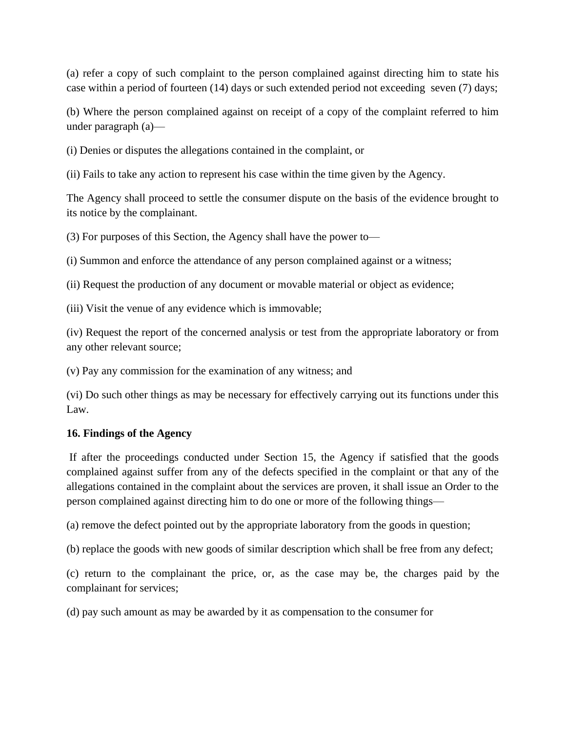(a) refer a copy of such complaint to the person complained against directing him to state his case within a period of fourteen (14) days or such extended period not exceeding seven (7) days;

(b) Where the person complained against on receipt of a copy of the complaint referred to him under paragraph (a)—

(i) Denies or disputes the allegations contained in the complaint, or

(ii) Fails to take any action to represent his case within the time given by the Agency.

The Agency shall proceed to settle the consumer dispute on the basis of the evidence brought to its notice by the complainant.

(3) For purposes of this Section, the Agency shall have the power to—

(i) Summon and enforce the attendance of any person complained against or a witness;

(ii) Request the production of any document or movable material or object as evidence;

(iii) Visit the venue of any evidence which is immovable;

(iv) Request the report of the concerned analysis or test from the appropriate laboratory or from any other relevant source;

(v) Pay any commission for the examination of any witness; and

(vi) Do such other things as may be necessary for effectively carrying out its functions under this Law.

#### **16. Findings of the Agency**

If after the proceedings conducted under Section 15, the Agency if satisfied that the goods complained against suffer from any of the defects specified in the complaint or that any of the allegations contained in the complaint about the services are proven, it shall issue an Order to the person complained against directing him to do one or more of the following things—

(a) remove the defect pointed out by the appropriate laboratory from the goods in question;

(b) replace the goods with new goods of similar description which shall be free from any defect;

(c) return to the complainant the price, or, as the case may be, the charges paid by the complainant for services;

(d) pay such amount as may be awarded by it as compensation to the consumer for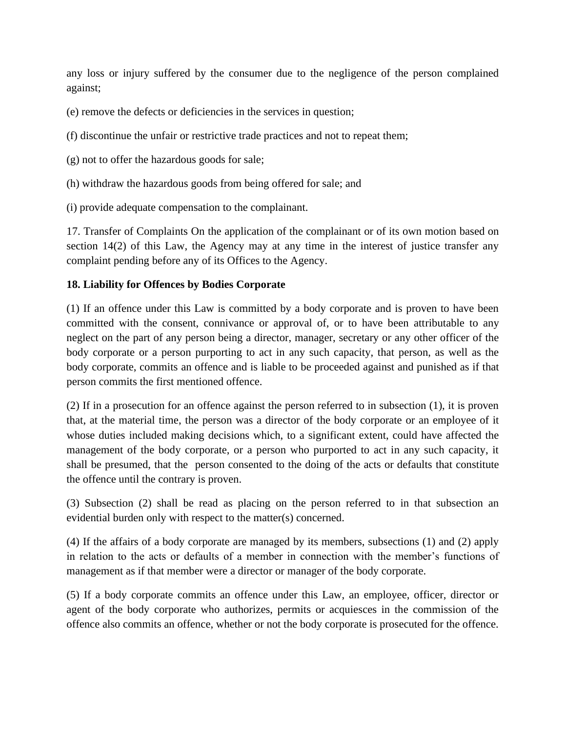any loss or injury suffered by the consumer due to the negligence of the person complained against;

- (e) remove the defects or deficiencies in the services in question;
- (f) discontinue the unfair or restrictive trade practices and not to repeat them;
- (g) not to offer the hazardous goods for sale;
- (h) withdraw the hazardous goods from being offered for sale; and
- (i) provide adequate compensation to the complainant.

17. Transfer of Complaints On the application of the complainant or of its own motion based on section 14(2) of this Law, the Agency may at any time in the interest of justice transfer any complaint pending before any of its Offices to the Agency.

## **18. Liability for Offences by Bodies Corporate**

(1) If an offence under this Law is committed by a body corporate and is proven to have been committed with the consent, connivance or approval of, or to have been attributable to any neglect on the part of any person being a director, manager, secretary or any other officer of the body corporate or a person purporting to act in any such capacity, that person, as well as the body corporate, commits an offence and is liable to be proceeded against and punished as if that person commits the first mentioned offence.

(2) If in a prosecution for an offence against the person referred to in subsection (1), it is proven that, at the material time, the person was a director of the body corporate or an employee of it whose duties included making decisions which, to a significant extent, could have affected the management of the body corporate, or a person who purported to act in any such capacity, it shall be presumed, that the person consented to the doing of the acts or defaults that constitute the offence until the contrary is proven.

(3) Subsection (2) shall be read as placing on the person referred to in that subsection an evidential burden only with respect to the matter(s) concerned.

(4) If the affairs of a body corporate are managed by its members, subsections (1) and (2) apply in relation to the acts or defaults of a member in connection with the member's functions of management as if that member were a director or manager of the body corporate.

(5) If a body corporate commits an offence under this Law, an employee, officer, director or agent of the body corporate who authorizes, permits or acquiesces in the commission of the offence also commits an offence, whether or not the body corporate is prosecuted for the offence.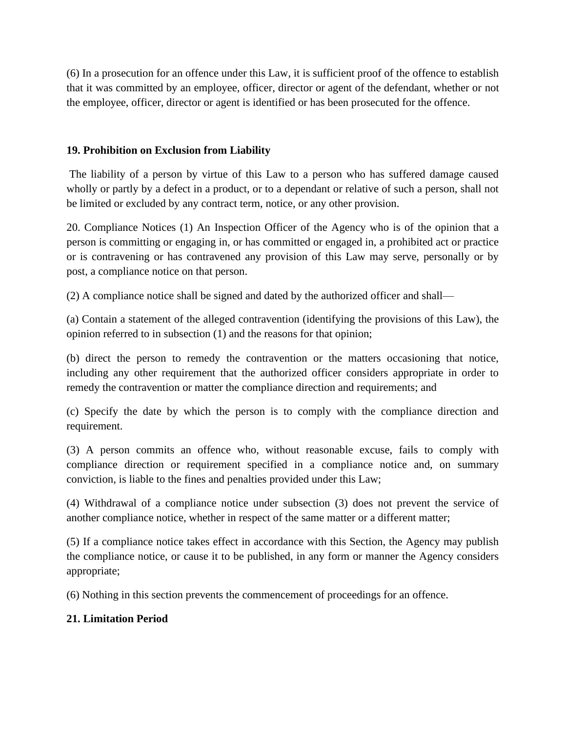(6) In a prosecution for an offence under this Law, it is sufficient proof of the offence to establish that it was committed by an employee, officer, director or agent of the defendant, whether or not the employee, officer, director or agent is identified or has been prosecuted for the offence.

## **19. Prohibition on Exclusion from Liability**

The liability of a person by virtue of this Law to a person who has suffered damage caused wholly or partly by a defect in a product, or to a dependant or relative of such a person, shall not be limited or excluded by any contract term, notice, or any other provision.

20. Compliance Notices (1) An Inspection Officer of the Agency who is of the opinion that a person is committing or engaging in, or has committed or engaged in, a prohibited act or practice or is contravening or has contravened any provision of this Law may serve, personally or by post, a compliance notice on that person.

(2) A compliance notice shall be signed and dated by the authorized officer and shall—

(a) Contain a statement of the alleged contravention (identifying the provisions of this Law), the opinion referred to in subsection (1) and the reasons for that opinion;

(b) direct the person to remedy the contravention or the matters occasioning that notice, including any other requirement that the authorized officer considers appropriate in order to remedy the contravention or matter the compliance direction and requirements; and

(c) Specify the date by which the person is to comply with the compliance direction and requirement.

(3) A person commits an offence who, without reasonable excuse, fails to comply with compliance direction or requirement specified in a compliance notice and, on summary conviction, is liable to the fines and penalties provided under this Law;

(4) Withdrawal of a compliance notice under subsection (3) does not prevent the service of another compliance notice, whether in respect of the same matter or a different matter;

(5) If a compliance notice takes effect in accordance with this Section, the Agency may publish the compliance notice, or cause it to be published, in any form or manner the Agency considers appropriate;

(6) Nothing in this section prevents the commencement of proceedings for an offence.

# **21. Limitation Period**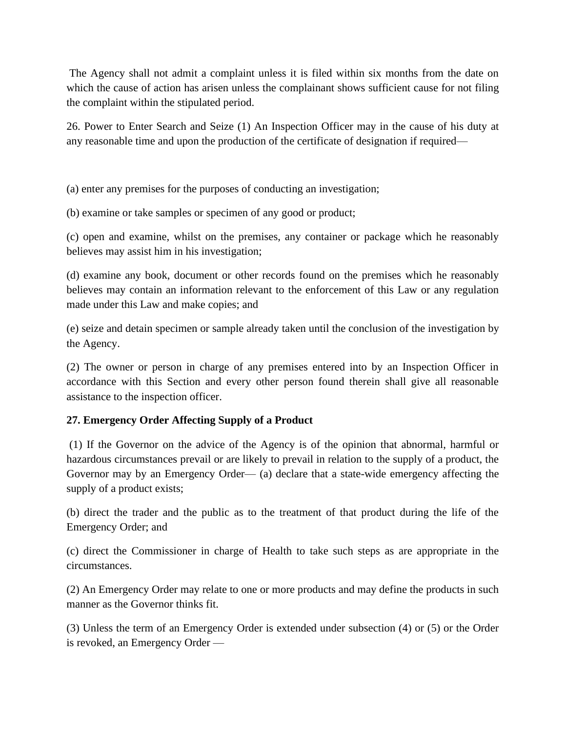The Agency shall not admit a complaint unless it is filed within six months from the date on which the cause of action has arisen unless the complainant shows sufficient cause for not filing the complaint within the stipulated period.

26. Power to Enter Search and Seize (1) An Inspection Officer may in the cause of his duty at any reasonable time and upon the production of the certificate of designation if required—

(a) enter any premises for the purposes of conducting an investigation;

(b) examine or take samples or specimen of any good or product;

(c) open and examine, whilst on the premises, any container or package which he reasonably believes may assist him in his investigation;

(d) examine any book, document or other records found on the premises which he reasonably believes may contain an information relevant to the enforcement of this Law or any regulation made under this Law and make copies; and

(e) seize and detain specimen or sample already taken until the conclusion of the investigation by the Agency.

(2) The owner or person in charge of any premises entered into by an Inspection Officer in accordance with this Section and every other person found therein shall give all reasonable assistance to the inspection officer.

# **27. Emergency Order Affecting Supply of a Product**

(1) If the Governor on the advice of the Agency is of the opinion that abnormal, harmful or hazardous circumstances prevail or are likely to prevail in relation to the supply of a product, the Governor may by an Emergency Order— (a) declare that a state-wide emergency affecting the supply of a product exists;

(b) direct the trader and the public as to the treatment of that product during the life of the Emergency Order; and

(c) direct the Commissioner in charge of Health to take such steps as are appropriate in the circumstances.

(2) An Emergency Order may relate to one or more products and may define the products in such manner as the Governor thinks fit.

(3) Unless the term of an Emergency Order is extended under subsection (4) or (5) or the Order is revoked, an Emergency Order —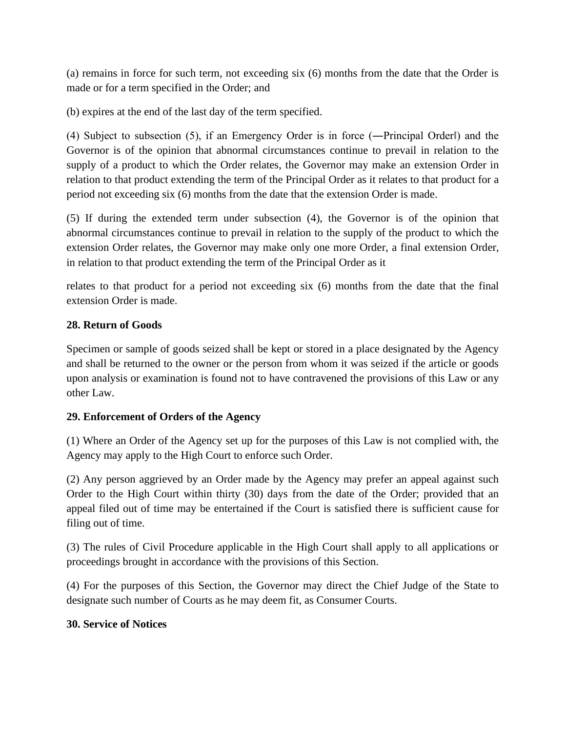(a) remains in force for such term, not exceeding six (6) months from the date that the Order is made or for a term specified in the Order; and

(b) expires at the end of the last day of the term specified.

(4) Subject to subsection (5), if an Emergency Order is in force (―Principal Order‖) and the Governor is of the opinion that abnormal circumstances continue to prevail in relation to the supply of a product to which the Order relates, the Governor may make an extension Order in relation to that product extending the term of the Principal Order as it relates to that product for a period not exceeding six (6) months from the date that the extension Order is made.

(5) If during the extended term under subsection (4), the Governor is of the opinion that abnormal circumstances continue to prevail in relation to the supply of the product to which the extension Order relates, the Governor may make only one more Order, a final extension Order, in relation to that product extending the term of the Principal Order as it

relates to that product for a period not exceeding six (6) months from the date that the final extension Order is made.

## **28. Return of Goods**

Specimen or sample of goods seized shall be kept or stored in a place designated by the Agency and shall be returned to the owner or the person from whom it was seized if the article or goods upon analysis or examination is found not to have contravened the provisions of this Law or any other Law.

# **29. Enforcement of Orders of the Agency**

(1) Where an Order of the Agency set up for the purposes of this Law is not complied with, the Agency may apply to the High Court to enforce such Order.

(2) Any person aggrieved by an Order made by the Agency may prefer an appeal against such Order to the High Court within thirty (30) days from the date of the Order; provided that an appeal filed out of time may be entertained if the Court is satisfied there is sufficient cause for filing out of time.

(3) The rules of Civil Procedure applicable in the High Court shall apply to all applications or proceedings brought in accordance with the provisions of this Section.

(4) For the purposes of this Section, the Governor may direct the Chief Judge of the State to designate such number of Courts as he may deem fit, as Consumer Courts.

## **30. Service of Notices**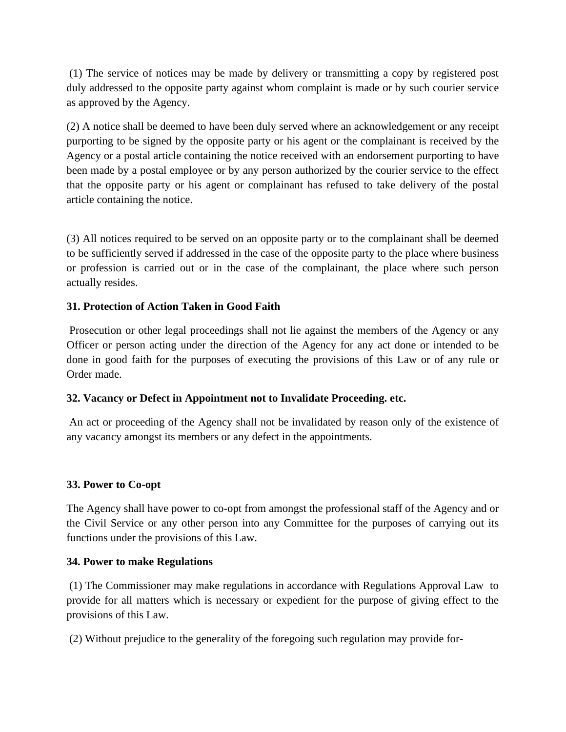(1) The service of notices may be made by delivery or transmitting a copy by registered post duly addressed to the opposite party against whom complaint is made or by such courier service as approved by the Agency.

(2) A notice shall be deemed to have been duly served where an acknowledgement or any receipt purporting to be signed by the opposite party or his agent or the complainant is received by the Agency or a postal article containing the notice received with an endorsement purporting to have been made by a postal employee or by any person authorized by the courier service to the effect that the opposite party or his agent or complainant has refused to take delivery of the postal article containing the notice.

(3) All notices required to be served on an opposite party or to the complainant shall be deemed to be sufficiently served if addressed in the case of the opposite party to the place where business or profession is carried out or in the case of the complainant, the place where such person actually resides.

## **31. Protection of Action Taken in Good Faith**

Prosecution or other legal proceedings shall not lie against the members of the Agency or any Officer or person acting under the direction of the Agency for any act done or intended to be done in good faith for the purposes of executing the provisions of this Law or of any rule or Order made.

## **32. Vacancy or Defect in Appointment not to Invalidate Proceeding. etc.**

An act or proceeding of the Agency shall not be invalidated by reason only of the existence of any vacancy amongst its members or any defect in the appointments.

## **33. Power to Co-opt**

The Agency shall have power to co-opt from amongst the professional staff of the Agency and or the Civil Service or any other person into any Committee for the purposes of carrying out its functions under the provisions of this Law.

## **34. Power to make Regulations**

(1) The Commissioner may make regulations in accordance with Regulations Approval Law to provide for all matters which is necessary or expedient for the purpose of giving effect to the provisions of this Law.

(2) Without prejudice to the generality of the foregoing such regulation may provide for-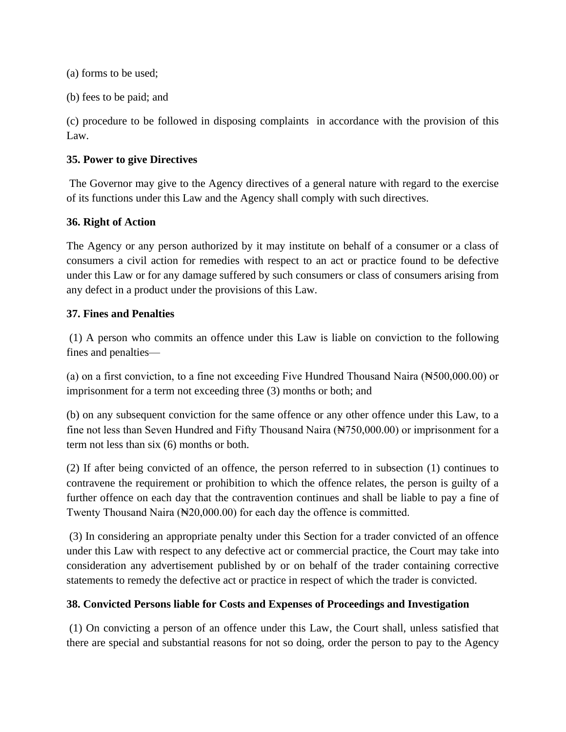(a) forms to be used;

(b) fees to be paid; and

(c) procedure to be followed in disposing complaints in accordance with the provision of this Law.

#### **35. Power to give Directives**

The Governor may give to the Agency directives of a general nature with regard to the exercise of its functions under this Law and the Agency shall comply with such directives.

## **36. Right of Action**

The Agency or any person authorized by it may institute on behalf of a consumer or a class of consumers a civil action for remedies with respect to an act or practice found to be defective under this Law or for any damage suffered by such consumers or class of consumers arising from any defect in a product under the provisions of this Law.

#### **37. Fines and Penalties**

(1) A person who commits an offence under this Law is liable on conviction to the following fines and penalties—

(a) on a first conviction, to a fine not exceeding Five Hundred Thousand Naira  $(\text{N500,000.00})$  or imprisonment for a term not exceeding three (3) months or both; and

(b) on any subsequent conviction for the same offence or any other offence under this Law, to a fine not less than Seven Hundred and Fifty Thousand Naira (No. 2000.00) or imprisonment for a term not less than six (6) months or both.

(2) If after being convicted of an offence, the person referred to in subsection (1) continues to contravene the requirement or prohibition to which the offence relates, the person is guilty of a further offence on each day that the contravention continues and shall be liable to pay a fine of Twenty Thousand Naira (₦20,000.00) for each day the offence is committed.

(3) In considering an appropriate penalty under this Section for a trader convicted of an offence under this Law with respect to any defective act or commercial practice, the Court may take into consideration any advertisement published by or on behalf of the trader containing corrective statements to remedy the defective act or practice in respect of which the trader is convicted.

## **38. Convicted Persons liable for Costs and Expenses of Proceedings and Investigation**

(1) On convicting a person of an offence under this Law, the Court shall, unless satisfied that there are special and substantial reasons for not so doing, order the person to pay to the Agency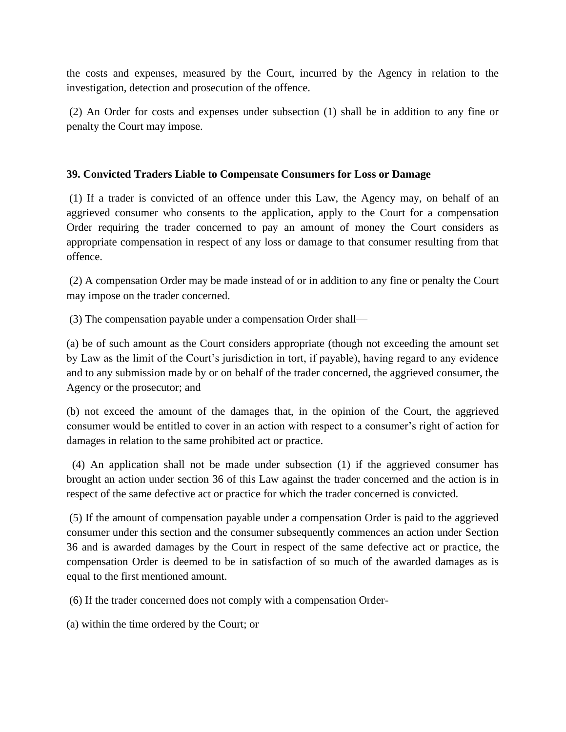the costs and expenses, measured by the Court, incurred by the Agency in relation to the investigation, detection and prosecution of the offence.

(2) An Order for costs and expenses under subsection (1) shall be in addition to any fine or penalty the Court may impose.

#### **39. Convicted Traders Liable to Compensate Consumers for Loss or Damage**

(1) If a trader is convicted of an offence under this Law, the Agency may, on behalf of an aggrieved consumer who consents to the application, apply to the Court for a compensation Order requiring the trader concerned to pay an amount of money the Court considers as appropriate compensation in respect of any loss or damage to that consumer resulting from that offence.

(2) A compensation Order may be made instead of or in addition to any fine or penalty the Court may impose on the trader concerned.

(3) The compensation payable under a compensation Order shall—

(a) be of such amount as the Court considers appropriate (though not exceeding the amount set by Law as the limit of the Court's jurisdiction in tort, if payable), having regard to any evidence and to any submission made by or on behalf of the trader concerned, the aggrieved consumer, the Agency or the prosecutor; and

(b) not exceed the amount of the damages that, in the opinion of the Court, the aggrieved consumer would be entitled to cover in an action with respect to a consumer's right of action for damages in relation to the same prohibited act or practice.

 (4) An application shall not be made under subsection (1) if the aggrieved consumer has brought an action under section 36 of this Law against the trader concerned and the action is in respect of the same defective act or practice for which the trader concerned is convicted.

(5) If the amount of compensation payable under a compensation Order is paid to the aggrieved consumer under this section and the consumer subsequently commences an action under Section 36 and is awarded damages by the Court in respect of the same defective act or practice, the compensation Order is deemed to be in satisfaction of so much of the awarded damages as is equal to the first mentioned amount.

(6) If the trader concerned does not comply with a compensation Order-

(a) within the time ordered by the Court; or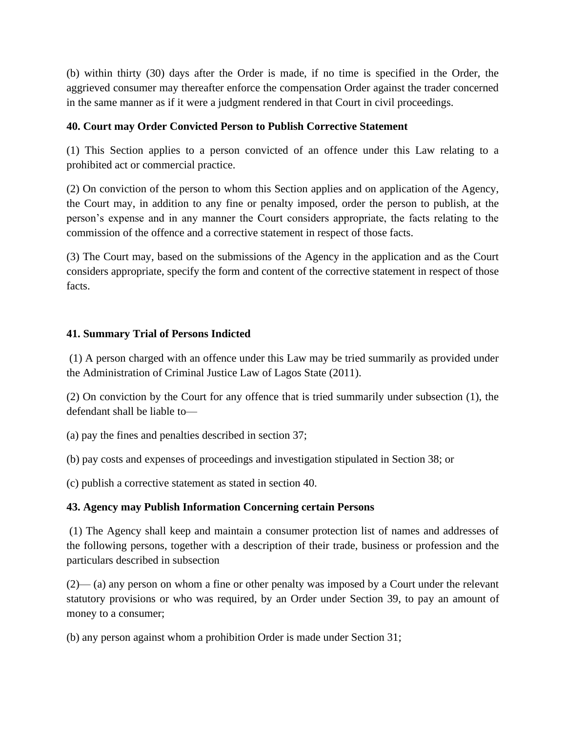(b) within thirty (30) days after the Order is made, if no time is specified in the Order, the aggrieved consumer may thereafter enforce the compensation Order against the trader concerned in the same manner as if it were a judgment rendered in that Court in civil proceedings.

## **40. Court may Order Convicted Person to Publish Corrective Statement**

(1) This Section applies to a person convicted of an offence under this Law relating to a prohibited act or commercial practice.

(2) On conviction of the person to whom this Section applies and on application of the Agency, the Court may, in addition to any fine or penalty imposed, order the person to publish, at the person's expense and in any manner the Court considers appropriate, the facts relating to the commission of the offence and a corrective statement in respect of those facts.

(3) The Court may, based on the submissions of the Agency in the application and as the Court considers appropriate, specify the form and content of the corrective statement in respect of those facts.

## **41. Summary Trial of Persons Indicted**

(1) A person charged with an offence under this Law may be tried summarily as provided under the Administration of Criminal Justice Law of Lagos State (2011).

(2) On conviction by the Court for any offence that is tried summarily under subsection (1), the defendant shall be liable to—

(a) pay the fines and penalties described in section 37;

(b) pay costs and expenses of proceedings and investigation stipulated in Section 38; or

(c) publish a corrective statement as stated in section 40.

# **43. Agency may Publish Information Concerning certain Persons**

(1) The Agency shall keep and maintain a consumer protection list of names and addresses of the following persons, together with a description of their trade, business or profession and the particulars described in subsection

(2)— (a) any person on whom a fine or other penalty was imposed by a Court under the relevant statutory provisions or who was required, by an Order under Section 39, to pay an amount of money to a consumer;

(b) any person against whom a prohibition Order is made under Section 31;